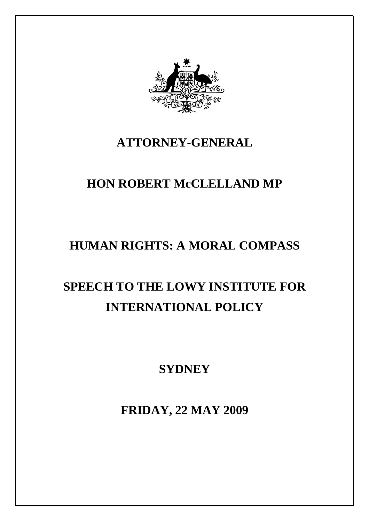

## **ATTORNEY-GENERAL**

## **HON ROBERT McCLELLAND MP**

## **HUMAN RIGHTS: A MORAL COMPASS**

# **SPEECH TO THE LOWY INSTITUTE FOR INTERNATIONAL POLICY**

**SYDNEY**

**FRIDAY, 22 MAY 2009**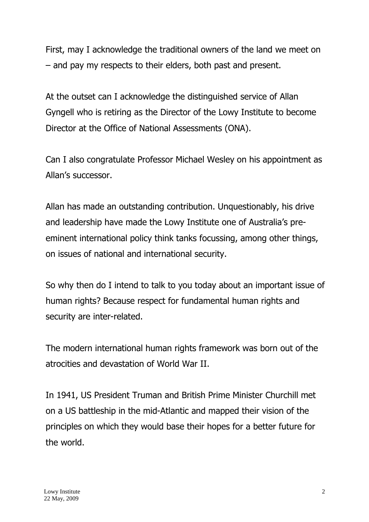First, may I acknowledge the traditional owners of the land we meet on – and pay my respects to their elders, both past and present.

At the outset can I acknowledge the distinguished service of Allan Gyngell who is retiring as the Director of the Lowy Institute to become Director at the Office of National Assessments (ONA).

Can I also congratulate Professor Michael Wesley on his appointment as Allan's successor.

Allan has made an outstanding contribution. Unquestionably, his drive and leadership have made the Lowy Institute one of Australia's preeminent international policy think tanks focussing, among other things, on issues of national and international security.

So why then do I intend to talk to you today about an important issue of human rights? Because respect for fundamental human rights and security are inter-related.

The modern international human rights framework was born out of the atrocities and devastation of World War II.

In 1941, US President Truman and British Prime Minister Churchill met on a US battleship in the mid-Atlantic and mapped their vision of the principles on which they would base their hopes for a better future for the world.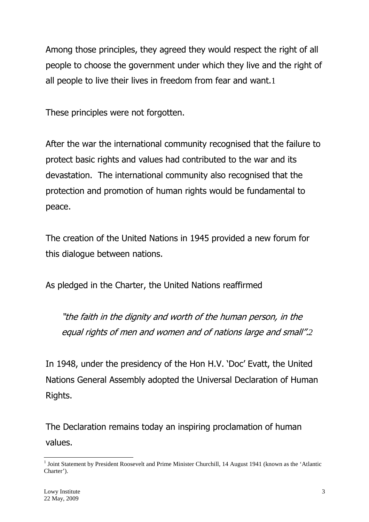Among those principles, they agreed they would respect the right of all people to choose the government under which they live and the right of all people to live their lives in freedom from fear and want.1

These principles were not forgotten.

After the war the international community recognised that the failure to protect basic rights and values had contributed to the war and its devastation. The international community also recognised that the protection and promotion of human rights would be fundamental to peace.

The creation of the United Nations in 1945 provided a new forum for this dialogue between nations.

As pledged in the Charter, the United Nations reaffirmed

"the faith in the dignity and worth of the human person, in the equal rights of men and women and of nations large and small".*2*

In 1948, under the presidency of the Hon H.V. 'Doc' Evatt, the United Nations General Assembly adopted the Universal Declaration of Human Rights.

The Declaration remains today an inspiring proclamation of human values.

<sup>&</sup>lt;sup>1</sup> Joint Statement by President Roosevelt and Prime Minister Churchill, 14 August 1941 (known as the 'Atlantic Charter').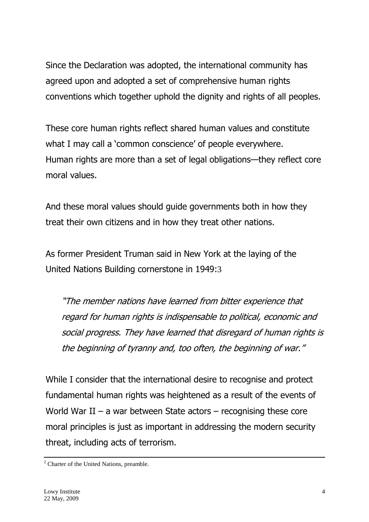Since the Declaration was adopted, the international community has agreed upon and adopted a set of comprehensive human rights conventions which together uphold the dignity and rights of all peoples.

These core human rights reflect shared human values and constitute what I may call a 'common conscience' of people everywhere. Human rights are more than a set of legal obligations—they reflect core moral values.

And these moral values should guide governments both in how they treat their own citizens and in how they treat other nations.

As former President Truman said in New York at the laying of the United Nations Building cornerstone in 1949:3

"The member nations have learned from bitter experience that regard for human rights is indispensable to political, economic and social progress. They have learned that disregard of human rights is the beginning of tyranny and, too often, the beginning of war."

While I consider that the international desire to recognise and protect fundamental human rights was heightened as a result of the events of World War II – a war between State actors – recognising these core moral principles is just as important in addressing the modern security threat, including acts of terrorism.

<sup>&</sup>lt;sup>2</sup> Charter of the United Nations, preamble.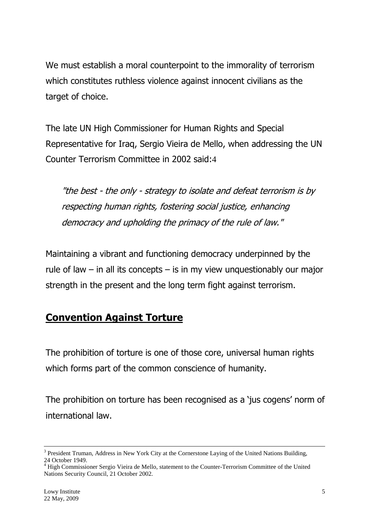We must establish a moral counterpoint to the immorality of terrorism which constitutes ruthless violence against innocent civilians as the target of choice.

The late UN High Commissioner for Human Rights and Special Representative for Iraq, Sergio Vieira de Mello, when addressing the UN Counter Terrorism Committee in 2002 said:4

"the best - the only - strategy to isolate and defeat terrorism is by respecting human rights, fostering social justice, enhancing democracy and upholding the primacy of the rule of law."

Maintaining a vibrant and functioning democracy underpinned by the rule of law  $-$  in all its concepts  $-$  is in my view unquestionably our major strength in the present and the long term fight against terrorism.

#### **Convention Against Torture**

The prohibition of torture is one of those core, universal human rights which forms part of the common conscience of humanity.

The prohibition on torture has been recognised as a 'jus cogens' norm of international law.

 $3$  President Truman, Address in New York City at the Cornerstone Laying of the United Nations Building, 24 October 1949.

<sup>&</sup>lt;sup>4</sup> High Commissioner Sergio Vieira de Mello, statement to the Counter-Terrorism Committee of the United Nations Security Council, 21 October 2002.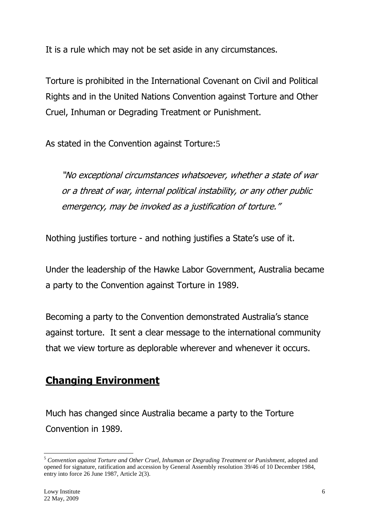It is a rule which may not be set aside in any circumstances.

Torture is prohibited in the International Covenant on Civil and Political Rights and in the United Nations Convention against Torture and Other Cruel, Inhuman or Degrading Treatment or Punishment.

As stated in the Convention against Torture:5

"No exceptional circumstances whatsoever, whether a state of war or a threat of war, internal political instability, or any other public emergency, may be invoked as a justification of torture."

Nothing justifies torture - and nothing justifies a State's use of it.

Under the leadership of the Hawke Labor Government, Australia became a party to the Convention against Torture in 1989.

Becoming a party to the Convention demonstrated Australia's stance against torture. It sent a clear message to the international community that we view torture as deplorable wherever and whenever it occurs.

#### **Changing Environment**

Much has changed since Australia became a party to the Torture Convention in 1989.

<sup>5</sup> *Convention against Torture and Other Cruel, Inhuman or Degrading Treatment or Punishment*, adopted and opened for signature, ratification and accession by General Assembly resolution 39/46 of 10 December 1984, entry into force 26 June 1987, Article 2(3).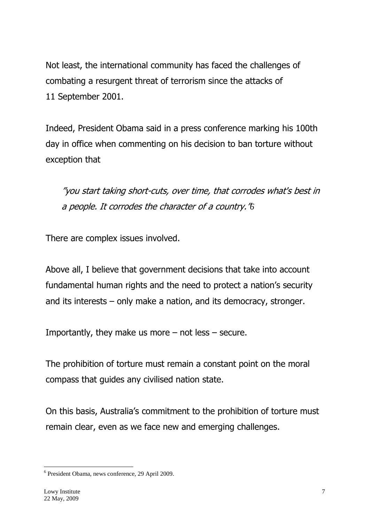Not least, the international community has faced the challenges of combating a resurgent threat of terrorism since the attacks of 11 September 2001.

Indeed, President Obama said in a press conference marking his 100th day in office when commenting on his decision to ban torture without exception that

"you start taking short-cuts, over time, that corrodes what's best in a people. It corrodes the character of a country."*6*

There are complex issues involved.

Above all, I believe that government decisions that take into account fundamental human rights and the need to protect a nation's security and its interests – only make a nation, and its democracy, stronger.

Importantly, they make us more  $-$  not less  $-$  secure.

The prohibition of torture must remain a constant point on the moral compass that guides any civilised nation state.

On this basis, Australia's commitment to the prohibition of torture must remain clear, even as we face new and emerging challenges.

<sup>6</sup> President Obama, news conference, 29 April 2009.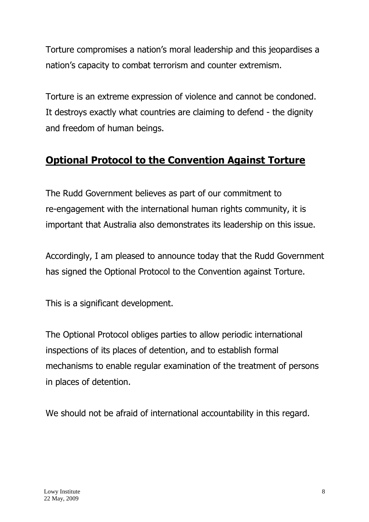Torture compromises a nation's moral leadership and this jeopardises a nation's capacity to combat terrorism and counter extremism.

Torture is an extreme expression of violence and cannot be condoned. It destroys exactly what countries are claiming to defend - the dignity and freedom of human beings.

### **Optional Protocol to the Convention Against Torture**

The Rudd Government believes as part of our commitment to re-engagement with the international human rights community, it is important that Australia also demonstrates its leadership on this issue.

Accordingly, I am pleased to announce today that the Rudd Government has signed the Optional Protocol to the Convention against Torture.

This is a significant development.

The Optional Protocol obliges parties to allow periodic international inspections of its places of detention, and to establish formal mechanisms to enable regular examination of the treatment of persons in places of detention.

We should not be afraid of international accountability in this regard.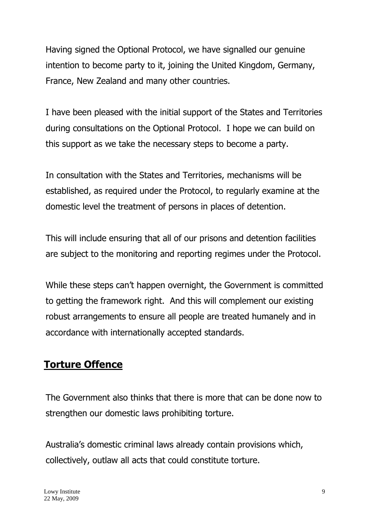Having signed the Optional Protocol, we have signalled our genuine intention to become party to it, joining the United Kingdom, Germany, France, New Zealand and many other countries.

I have been pleased with the initial support of the States and Territories during consultations on the Optional Protocol. I hope we can build on this support as we take the necessary steps to become a party.

In consultation with the States and Territories, mechanisms will be established, as required under the Protocol, to regularly examine at the domestic level the treatment of persons in places of detention.

This will include ensuring that all of our prisons and detention facilities are subject to the monitoring and reporting regimes under the Protocol.

While these steps can't happen overnight, the Government is committed to getting the framework right. And this will complement our existing robust arrangements to ensure all people are treated humanely and in accordance with internationally accepted standards.

#### **Torture Offence**

The Government also thinks that there is more that can be done now to strengthen our domestic laws prohibiting torture.

Australia's domestic criminal laws already contain provisions which, collectively, outlaw all acts that could constitute torture.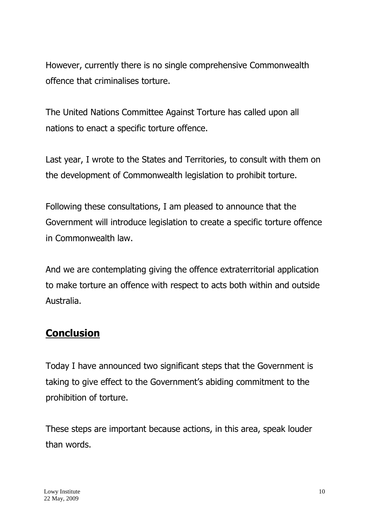However, currently there is no single comprehensive Commonwealth offence that criminalises torture.

The United Nations Committee Against Torture has called upon all nations to enact a specific torture offence.

Last year, I wrote to the States and Territories, to consult with them on the development of Commonwealth legislation to prohibit torture.

Following these consultations, I am pleased to announce that the Government will introduce legislation to create a specific torture offence in Commonwealth law.

And we are contemplating giving the offence extraterritorial application to make torture an offence with respect to acts both within and outside Australia.

#### **Conclusion**

Today I have announced two significant steps that the Government is taking to give effect to the Government's abiding commitment to the prohibition of torture.

These steps are important because actions, in this area, speak louder than words.